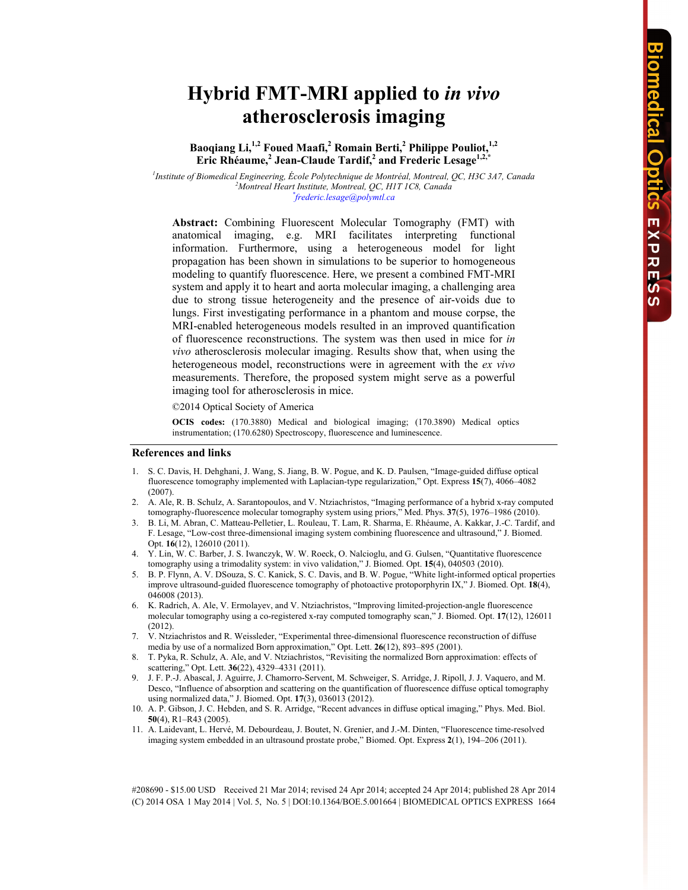# **Hybrid FMT-MRI applied to** *in vivo* **atherosclerosis imaging**

# **Baoqiang Li,1,2 Foued Maafi,2 Romain Berti,<sup>2</sup> Philippe Pouliot,1,2 Eric Rhéaume,<sup>2</sup> Jean-Claude Tardif,2 and Frederic Lesage1,2,\***

<sup>1</sup> Institute of Biomedical Engineering, École Polytechnique de Montréal, Montreal, QC, H3C 3A7, Canada <sup>2</sup>Montreal Heart Institute Montreal OC, HT 1C<sup>9</sup>, Canada *Montreal Heart Institute, Montreal, QC, H1T 1C8, Canada \* frederic.lesage@polymtl.ca* 

**Abstract:** Combining Fluorescent Molecular Tomography (FMT) with anatomical imaging, e.g. MRI facilitates interpreting functional information. Furthermore, using a heterogeneous model for light propagation has been shown in simulations to be superior to homogeneous modeling to quantify fluorescence. Here, we present a combined FMT-MRI system and apply it to heart and aorta molecular imaging, a challenging area due to strong tissue heterogeneity and the presence of air-voids due to lungs. First investigating performance in a phantom and mouse corpse, the MRI-enabled heterogeneous models resulted in an improved quantification of fluorescence reconstructions. The system was then used in mice for *in vivo* atherosclerosis molecular imaging. Results show that, when using the heterogeneous model, reconstructions were in agreement with the *ex vivo* measurements. Therefore, the proposed system might serve as a powerful imaging tool for atherosclerosis in mice.

©2014 Optical Society of America

**OCIS codes:** (170.3880) Medical and biological imaging; (170.3890) Medical optics instrumentation; (170.6280) Spectroscopy, fluorescence and luminescence.

#### **References and links**

- 1. S. C. Davis, H. Dehghani, J. Wang, S. Jiang, B. W. Pogue, and K. D. Paulsen, "Image-guided diffuse optical fluorescence tomography implemented with Laplacian-type regularization," Opt. Express **15**(7), 4066–4082 (2007).
- 2. A. Ale, R. B. Schulz, A. Sarantopoulos, and V. Ntziachristos, "Imaging performance of a hybrid x-ray computed tomography-fluorescence molecular tomography system using priors," Med. Phys. **37**(5), 1976–1986 (2010).
- 3. B. Li, M. Abran, C. Matteau-Pelletier, L. Rouleau, T. Lam, R. Sharma, E. Rhéaume, A. Kakkar, J.-C. Tardif, and F. Lesage, "Low-cost three-dimensional imaging system combining fluorescence and ultrasound," J. Biomed. Opt. **16**(12), 126010 (2011).
- 4. Y. Lin, W. C. Barber, J. S. Iwanczyk, W. W. Roeck, O. Nalcioglu, and G. Gulsen, "Quantitative fluorescence tomography using a trimodality system: in vivo validation," J. Biomed. Opt. **15**(4), 040503 (2010).
- 5. B. P. Flynn, A. V. DSouza, S. C. Kanick, S. C. Davis, and B. W. Pogue, "White light-informed optical properties improve ultrasound-guided fluorescence tomography of photoactive protoporphyrin IX," J. Biomed. Opt. **18**(4), 046008 (2013).
- 6. K. Radrich, A. Ale, V. Ermolayev, and V. Ntziachristos, "Improving limited-projection-angle fluorescence molecular tomography using a co-registered x-ray computed tomography scan," J. Biomed. Opt. **17**(12), 126011 (2012).
- 7. V. Ntziachristos and R. Weissleder, "Experimental three-dimensional fluorescence reconstruction of diffuse media by use of a normalized Born approximation," Opt. Lett. **26**(12), 893–895 (2001).
- 8. T. Pyka, R. Schulz, A. Ale, and V. Ntziachristos, "Revisiting the normalized Born approximation: effects of scattering," Opt. Lett. **36**(22), 4329–4331 (2011).
- 9. J. F. P.-J. Abascal, J. Aguirre, J. Chamorro-Servent, M. Schweiger, S. Arridge, J. Ripoll, J. J. Vaquero, and M. Desco, "Influence of absorption and scattering on the quantification of fluorescence diffuse optical tomography using normalized data," J. Biomed. Opt. **17**(3), 036013 (2012).
- 10. A. P. Gibson, J. C. Hebden, and S. R. Arridge, "Recent advances in diffuse optical imaging," Phys. Med. Biol. **50**(4), R1–R43 (2005).
- 11. A. Laidevant, L. Hervé, M. Debourdeau, J. Boutet, N. Grenier, and J.-M. Dinten, "Fluorescence time-resolved imaging system embedded in an ultrasound prostate probe," Biomed. Opt. Express **2**(1), 194–206 (2011).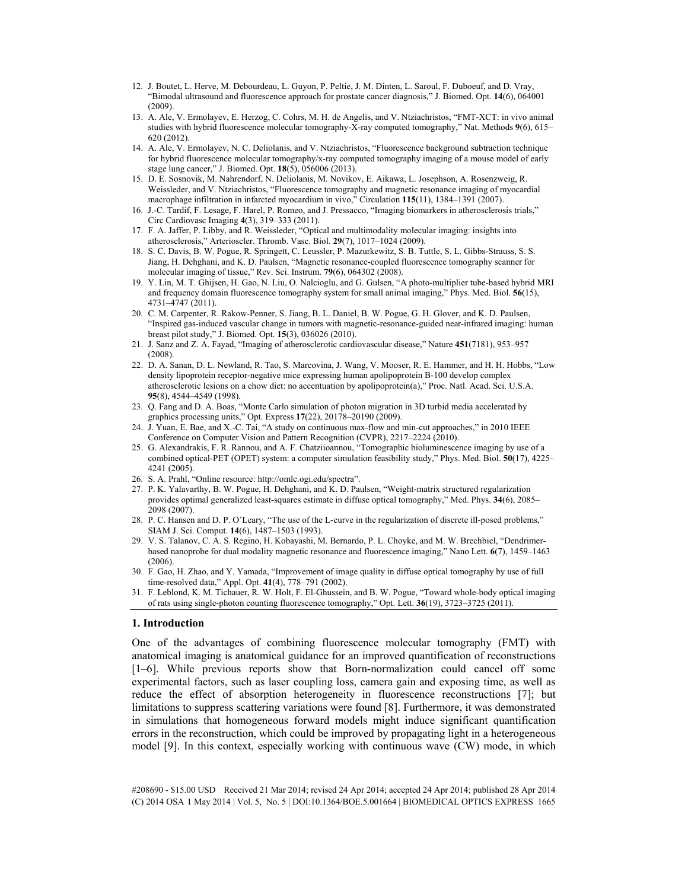- 12. J. Boutet, L. Herve, M. Debourdeau, L. Guyon, P. Peltie, J. M. Dinten, L. Saroul, F. Duboeuf, and D. Vray, "Bimodal ultrasound and fluorescence approach for prostate cancer diagnosis," J. Biomed. Opt. **14**(6), 064001 (2009).
- 13. A. Ale, V. Ermolayev, E. Herzog, C. Cohrs, M. H. de Angelis, and V. Ntziachristos, "FMT-XCT: in vivo animal studies with hybrid fluorescence molecular tomography-X-ray computed tomography," Nat. Methods **9**(6), 615– 620 (2012).
- 14. A. Ale, V. Ermolayev, N. C. Deliolanis, and V. Ntziachristos, "Fluorescence background subtraction technique for hybrid fluorescence molecular tomography/x-ray computed tomography imaging of a mouse model of early stage lung cancer," J. Biomed. Opt. **18**(5), 056006 (2013).
- 15. D. E. Sosnovik, M. Nahrendorf, N. Deliolanis, M. Novikov, E. Aikawa, L. Josephson, A. Rosenzweig, R. Weissleder, and V. Ntziachristos, "Fluorescence tomography and magnetic resonance imaging of myocardial macrophage infiltration in infarcted myocardium in vivo," Circulation **115**(11), 1384–1391 (2007).
- 16. J.-C. Tardif, F. Lesage, F. Harel, P. Romeo, and J. Pressacco, "Imaging biomarkers in atherosclerosis trials," Circ Cardiovasc Imaging **4**(3), 319–333 (2011).
- 17. F. A. Jaffer, P. Libby, and R. Weissleder, "Optical and multimodality molecular imaging: insights into atherosclerosis," Arterioscler. Thromb. Vasc. Biol. **29**(7), 1017–1024 (2009).
- 18. S. C. Davis, B. W. Pogue, R. Springett, C. Leussler, P. Mazurkewitz, S. B. Tuttle, S. L. Gibbs-Strauss, S. S. Jiang, H. Dehghani, and K. D. Paulsen, "Magnetic resonance-coupled fluorescence tomography scanner for molecular imaging of tissue," Rev. Sci. Instrum. **79**(6), 064302 (2008).
- 19. Y. Lin, M. T. Ghijsen, H. Gao, N. Liu, O. Nalcioglu, and G. Gulsen, "A photo-multiplier tube-based hybrid MRI and frequency domain fluorescence tomography system for small animal imaging," Phys. Med. Biol. **56**(15), 4731–4747 (2011).
- 20. C. M. Carpenter, R. Rakow-Penner, S. Jiang, B. L. Daniel, B. W. Pogue, G. H. Glover, and K. D. Paulsen, "Inspired gas-induced vascular change in tumors with magnetic-resonance-guided near-infrared imaging: human breast pilot study," J. Biomed. Opt. **15**(3), 036026 (2010).
- 21. J. Sanz and Z. A. Fayad, "Imaging of atherosclerotic cardiovascular disease," Nature **451**(7181), 953–957 (2008).
- 22. D. A. Sanan, D. L. Newland, R. Tao, S. Marcovina, J. Wang, V. Mooser, R. E. Hammer, and H. H. Hobbs, "Low density lipoprotein receptor-negative mice expressing human apolipoprotein B-100 develop complex atherosclerotic lesions on a chow diet: no accentuation by apolipoprotein(a)," Proc. Natl. Acad. Sci. U.S.A. **95**(8), 4544–4549 (1998).
- 23. Q. Fang and D. A. Boas, "Monte Carlo simulation of photon migration in 3D turbid media accelerated by graphics processing units," Opt. Express **17**(22), 20178–20190 (2009).
- 24. J. Yuan, E. Bae, and X.-C. Tai, "A study on continuous max-flow and min-cut approaches," in 2010 IEEE Conference on Computer Vision and Pattern Recognition (CVPR), 2217–2224 (2010).
- 25. G. Alexandrakis, F. R. Rannou, and A. F. Chatziioannou, "Tomographic bioluminescence imaging by use of a combined optical-PET (OPET) system: a computer simulation feasibility study," Phys. Med. Biol. **50**(17), 4225– 4241 (2005).
- 26. S. A. Prahl, "Online resource: http://omlc.ogi.edu/spectra".
- 27. P. K. Yalavarthy, B. W. Pogue, H. Dehghani, and K. D. Paulsen, "Weight-matrix structured regularization provides optimal generalized least-squares estimate in diffuse optical tomography," Med. Phys. **34**(6), 2085– 2098 (2007).
- 28. P. C. Hansen and D. P. O'Leary, "The use of the L-curve in the regularization of discrete ill-posed problems," SIAM J. Sci. Comput. **14**(6), 1487–1503 (1993).
- 29. V. S. Talanov, C. A. S. Regino, H. Kobayashi, M. Bernardo, P. L. Choyke, and M. W. Brechbiel, "Dendrimerbased nanoprobe for dual modality magnetic resonance and fluorescence imaging," Nano Lett. **6**(7), 1459–1463  $(2006)$
- 30. F. Gao, H. Zhao, and Y. Yamada, "Improvement of image quality in diffuse optical tomography by use of full time-resolved data," Appl. Opt. **41**(4), 778–791 (2002).
- 31. F. Leblond, K. M. Tichauer, R. W. Holt, F. El-Ghussein, and B. W. Pogue, "Toward whole-body optical imaging of rats using single-photon counting fluorescence tomography," Opt. Lett. **36**(19), 3723–3725 (2011).

## **1. Introduction**

One of the advantages of combining fluorescence molecular tomography (FMT) with anatomical imaging is anatomical guidance for an improved quantification of reconstructions [1–6]. While previous reports show that Born-normalization could cancel off some experimental factors, such as laser coupling loss, camera gain and exposing time, as well as reduce the effect of absorption heterogeneity in fluorescence reconstructions [7]; but limitations to suppress scattering variations were found [8]. Furthermore, it was demonstrated in simulations that homogeneous forward models might induce significant quantification errors in the reconstruction, which could be improved by propagating light in a heterogeneous model [9]. In this context, especially working with continuous wave (CW) mode, in which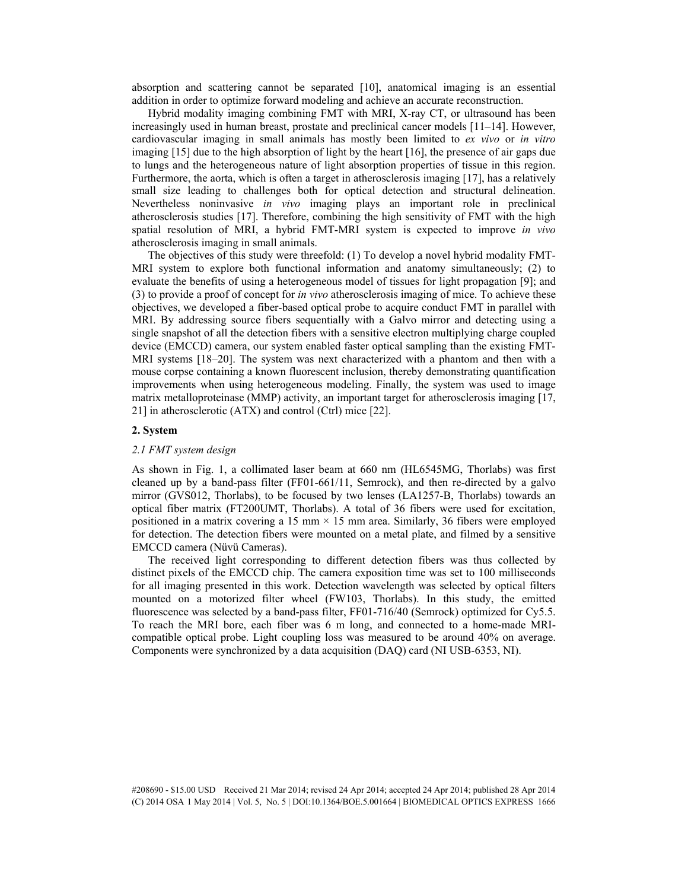absorption and scattering cannot be separated [10], anatomical imaging is an essential addition in order to optimize forward modeling and achieve an accurate reconstruction.

Hybrid modality imaging combining FMT with MRI, X-ray CT, or ultrasound has been increasingly used in human breast, prostate and preclinical cancer models [11–14]. However, cardiovascular imaging in small animals has mostly been limited to *ex vivo* or *in vitro* imaging [15] due to the high absorption of light by the heart [16], the presence of air gaps due to lungs and the heterogeneous nature of light absorption properties of tissue in this region. Furthermore, the aorta, which is often a target in atherosclerosis imaging [17], has a relatively small size leading to challenges both for optical detection and structural delineation. Nevertheless noninvasive *in vivo* imaging plays an important role in preclinical atherosclerosis studies [17]. Therefore, combining the high sensitivity of FMT with the high spatial resolution of MRI, a hybrid FMT-MRI system is expected to improve *in vivo* atherosclerosis imaging in small animals.

The objectives of this study were threefold: (1) To develop a novel hybrid modality FMT-MRI system to explore both functional information and anatomy simultaneously; (2) to evaluate the benefits of using a heterogeneous model of tissues for light propagation [9]; and (3) to provide a proof of concept for *in vivo* atherosclerosis imaging of mice. To achieve these objectives, we developed a fiber-based optical probe to acquire conduct FMT in parallel with MRI. By addressing source fibers sequentially with a Galvo mirror and detecting using a single snapshot of all the detection fibers with a sensitive electron multiplying charge coupled device (EMCCD) camera, our system enabled faster optical sampling than the existing FMT-MRI systems [18–20]. The system was next characterized with a phantom and then with a mouse corpse containing a known fluorescent inclusion, thereby demonstrating quantification improvements when using heterogeneous modeling. Finally, the system was used to image matrix metalloproteinase (MMP) activity, an important target for atherosclerosis imaging [17, 21] in atherosclerotic (ATX) and control (Ctrl) mice [22].

## **2. System**

#### *2.1 FMT system design*

As shown in Fig. 1, a collimated laser beam at 660 nm (HL6545MG, Thorlabs) was first cleaned up by a band-pass filter (FF01-661/11, Semrock), and then re-directed by a galvo mirror (GVS012, Thorlabs), to be focused by two lenses (LA1257-B, Thorlabs) towards an optical fiber matrix (FT200UMT, Thorlabs). A total of 36 fibers were used for excitation, positioned in a matrix covering a 15 mm  $\times$  15 mm area. Similarly, 36 fibers were employed for detection. The detection fibers were mounted on a metal plate, and filmed by a sensitive EMCCD camera (Nüvü Cameras).

The received light corresponding to different detection fibers was thus collected by distinct pixels of the EMCCD chip. The camera exposition time was set to 100 milliseconds for all imaging presented in this work. Detection wavelength was selected by optical filters mounted on a motorized filter wheel (FW103, Thorlabs). In this study, the emitted fluorescence was selected by a band-pass filter, FF01-716/40 (Semrock) optimized for Cy5.5. To reach the MRI bore, each fiber was 6 m long, and connected to a home-made MRIcompatible optical probe. Light coupling loss was measured to be around 40% on average. Components were synchronized by a data acquisition (DAQ) card (NI USB-6353, NI).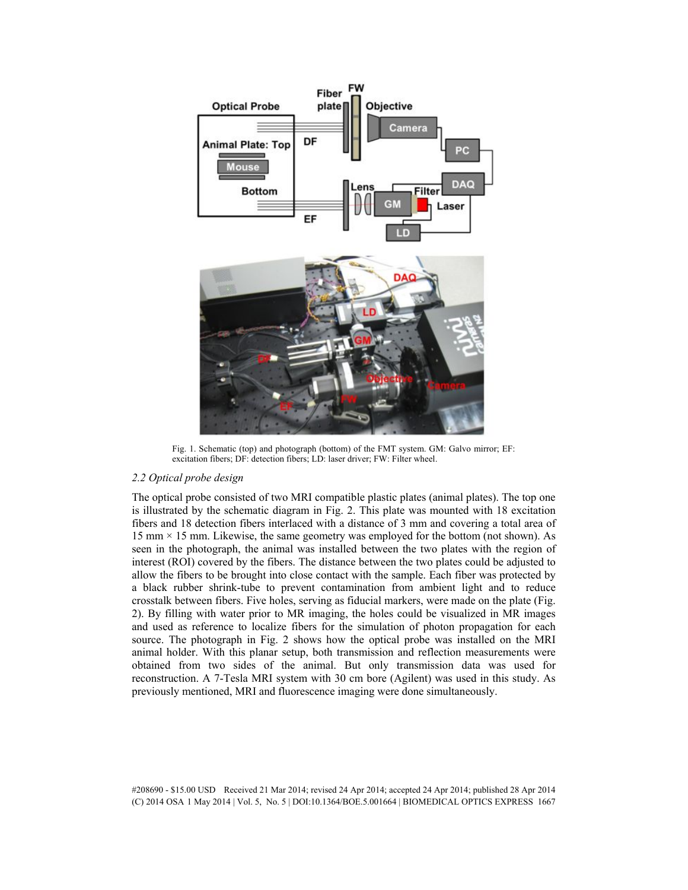

Fig. 1. Schematic (top) and photograph (bottom) of the FMT system. GM: Galvo mirror; EF: excitation fibers; DF: detection fibers; LD: laser driver; FW: Filter wheel.

## *2.2 Optical probe design*

The optical probe consisted of two MRI compatible plastic plates (animal plates). The top one is illustrated by the schematic diagram in Fig. 2. This plate was mounted with 18 excitation fibers and 18 detection fibers interlaced with a distance of 3 mm and covering a total area of 15 mm  $\times$  15 mm. Likewise, the same geometry was employed for the bottom (not shown). As seen in the photograph, the animal was installed between the two plates with the region of interest (ROI) covered by the fibers. The distance between the two plates could be adjusted to allow the fibers to be brought into close contact with the sample. Each fiber was protected by a black rubber shrink-tube to prevent contamination from ambient light and to reduce crosstalk between fibers. Five holes, serving as fiducial markers, were made on the plate (Fig. 2). By filling with water prior to MR imaging, the holes could be visualized in MR images and used as reference to localize fibers for the simulation of photon propagation for each source. The photograph in Fig. 2 shows how the optical probe was installed on the MRI animal holder. With this planar setup, both transmission and reflection measurements were obtained from two sides of the animal. But only transmission data was used for reconstruction. A 7-Tesla MRI system with 30 cm bore (Agilent) was used in this study. As previously mentioned, MRI and fluorescence imaging were done simultaneously.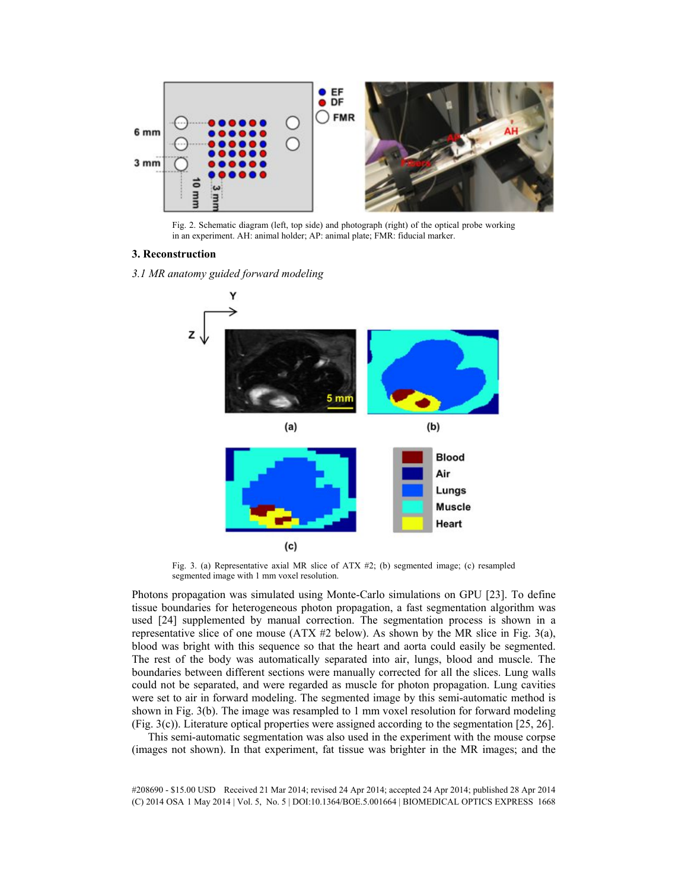

Fig. 2. Schematic diagram (left, top side) and photograph (right) of the optical probe working in an experiment. AH: animal holder; AP: animal plate; FMR: fiducial marker.

## **3. Reconstruction**

*3.1 MR anatomy guided forward modeling* 



Fig. 3. (a) Representative axial MR slice of ATX #2; (b) segmented image; (c) resampled segmented image with 1 mm voxel resolution.

Photons propagation was simulated using Monte-Carlo simulations on GPU [23]. To define tissue boundaries for heterogeneous photon propagation, a fast segmentation algorithm was used [24] supplemented by manual correction. The segmentation process is shown in a representative slice of one mouse (ATX  $#2$  below). As shown by the MR slice in Fig. 3(a), blood was bright with this sequence so that the heart and aorta could easily be segmented. The rest of the body was automatically separated into air, lungs, blood and muscle. The boundaries between different sections were manually corrected for all the slices. Lung walls could not be separated, and were regarded as muscle for photon propagation. Lung cavities were set to air in forward modeling. The segmented image by this semi-automatic method is shown in Fig. 3(b). The image was resampled to 1 mm voxel resolution for forward modeling (Fig. 3(c)). Literature optical properties were assigned according to the segmentation [25, 26].

This semi-automatic segmentation was also used in the experiment with the mouse corpse (images not shown). In that experiment, fat tissue was brighter in the MR images; and the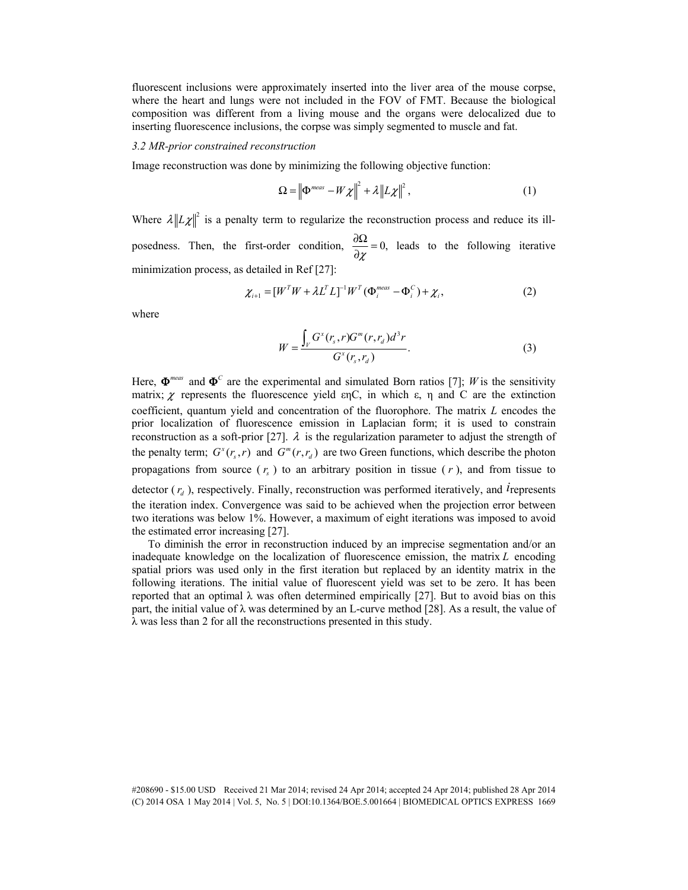fluorescent inclusions were approximately inserted into the liver area of the mouse corpse, where the heart and lungs were not included in the FOV of FMT. Because the biological composition was different from a living mouse and the organs were delocalized due to inserting fluorescence inclusions, the corpse was simply segmented to muscle and fat.

#### *3.2 MR-prior constrained reconstruction*

Image reconstruction was done by minimizing the following objective function:

$$
\Omega = \left\| \Phi^{meas} - W \chi \right\|^2 + \lambda \left\| L \chi \right\|^2, \tag{1}
$$

Where  $\lambda \|L\chi\|^2$  is a penalty term to regularize the reconstruction process and reduce its illposedness. Then, the first-order condition,  $\frac{0.022}{0.000} = 0$ ,  $\frac{\partial \Omega}{\partial \chi} = 0$ , leads to the following iterative minimization process, as detailed in Ref [27]:

$$
\chi_{i+1} = [W^T W + \lambda L^T L]^{-1} W^T (\Phi_i^{\text{meas}} - \Phi_i^C) + \chi_i, \qquad (2)
$$

where

$$
W = \frac{\int_{V} G^{x}(r_s, r) G^{m}(r, r_d) d^{3}r}{G^{x}(r_s, r_d)}.
$$
 (3)

Here,  $\Phi^{meas}$  and  $\Phi^C$  are the experimental and simulated Born ratios [7]; *W* is the sensitivity matrix;  $\chi$  represents the fluorescence yield  $\epsilon$ <sub>C</sub>, in which  $\epsilon$ ,  $\eta$  and C are the extinction coefficient, quantum yield and concentration of the fluorophore. The matrix *L* encodes the prior localization of fluorescence emission in Laplacian form; it is used to constrain reconstruction as a soft-prior [27].  $\lambda$  is the regularization parameter to adjust the strength of the penalty term;  $G^x(r, r)$  and  $G^m(r, r_d)$  are two Green functions, which describe the photon propagations from source  $(r<sub>s</sub>)$  to an arbitrary position in tissue  $(r)$ , and from tissue to detector  $(r_d)$ , respectively. Finally, reconstruction was performed iteratively, and *i* represents the iteration index. Convergence was said to be achieved when the projection error between two iterations was below 1%. However, a maximum of eight iterations was imposed to avoid the estimated error increasing [27].

To diminish the error in reconstruction induced by an imprecise segmentation and/or an inadequate knowledge on the localization of fluorescence emission, the matrix *L* encoding spatial priors was used only in the first iteration but replaced by an identity matrix in the following iterations. The initial value of fluorescent yield was set to be zero. It has been reported that an optimal  $\lambda$  was often determined empirically [27]. But to avoid bias on this part, the initial value of  $\lambda$  was determined by an L-curve method [28]. As a result, the value of  $\lambda$  was less than 2 for all the reconstructions presented in this study.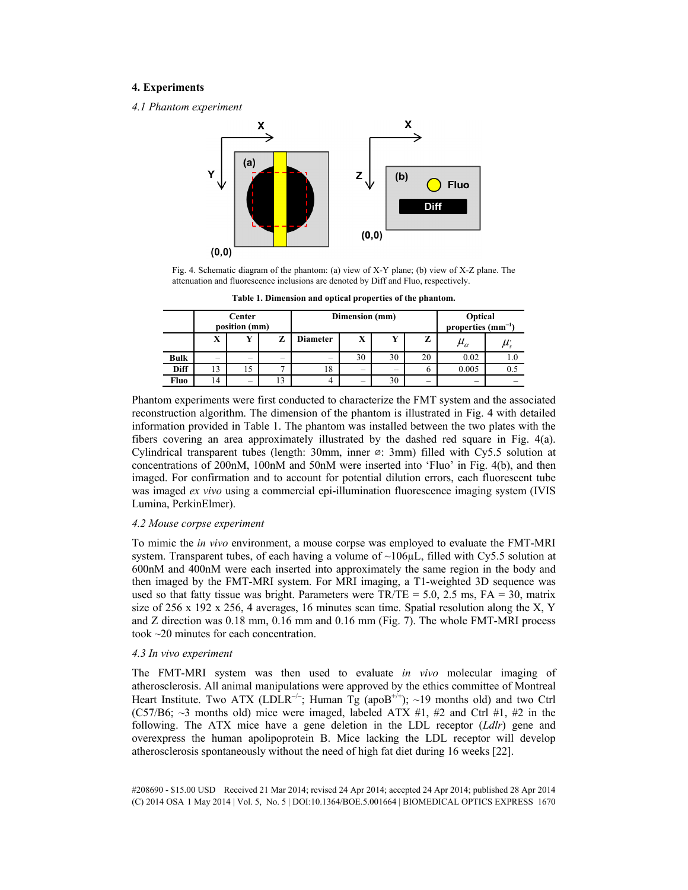## **4. Experiments**

*4.1 Phantom experiment* 



Fig. 4. Schematic diagram of the phantom: (a) view of X-Y plane; (b) view of X-Z plane. The attenuation and fluorescence inclusions are denoted by Diff and Fluo, respectively.

|             | Center<br>position (mm) |                          |    | Dimension (mm)           |                          |    |                          | Optical<br>properties $(mm^{-1})$ |     |
|-------------|-------------------------|--------------------------|----|--------------------------|--------------------------|----|--------------------------|-----------------------------------|-----|
|             | v<br>А                  | $\mathbf{v}$             |    | Diameter                 | X                        | v  | z                        | $\mu_{\alpha}$                    |     |
| <b>Bulk</b> | -                       | $\overline{\phantom{a}}$ |    | $\overline{\phantom{a}}$ | 30                       | 30 | 20                       | 0.02                              |     |
| Diff        | 13                      | 15                       |    | 18                       | -                        | -  | b                        | 0.005                             | 0.5 |
| Fluo        | 14                      | $\overline{\phantom{0}}$ | 13 |                          | $\overline{\phantom{a}}$ | 30 | $\overline{\phantom{a}}$ | $\overline{\phantom{a}}$          |     |

**Table 1. Dimension and optical properties of the phantom.** 

Phantom experiments were first conducted to characterize the FMT system and the associated reconstruction algorithm. The dimension of the phantom is illustrated in Fig. 4 with detailed information provided in Table 1. The phantom was installed between the two plates with the fibers covering an area approximately illustrated by the dashed red square in Fig. 4(a). Cylindrical transparent tubes (length: 30mm, inner  $\varnothing$ : 3mm) filled with Cy5.5 solution at concentrations of 200nM, 100nM and 50nM were inserted into 'Fluo' in Fig. 4(b), and then imaged. For confirmation and to account for potential dilution errors, each fluorescent tube was imaged *ex vivo* using a commercial epi-illumination fluorescence imaging system (IVIS Lumina, PerkinElmer).

## *4.2 Mouse corpse experiment*

To mimic the *in vivo* environment, a mouse corpse was employed to evaluate the FMT-MRI system. Transparent tubes, of each having a volume of  $\sim$ 106 $\mu$ L, filled with Cy5.5 solution at 600nM and 400nM were each inserted into approximately the same region in the body and then imaged by the FMT-MRI system. For MRI imaging, a T1-weighted 3D sequence was used so that fatty tissue was bright. Parameters were  $TR/TE = 5.0$ , 2.5 ms,  $FA = 30$ , matrix size of 256 x 192 x 256, 4 averages, 16 minutes scan time. Spatial resolution along the X, Y and Z direction was 0.18 mm, 0.16 mm and 0.16 mm (Fig. 7). The whole FMT-MRI process took ~20 minutes for each concentration.

## *4.3 In vivo experiment*

The FMT-MRI system was then used to evaluate *in vivo* molecular imaging of atherosclerosis. All animal manipulations were approved by the ethics committee of Montreal Heart Institute. Two ATX (LDLR<sup>-/-</sup>; Human Tg (apoB<sup>+/+</sup>); ~19 months old) and two Ctrl (C57/B6;  $\sim$ 3 months old) mice were imaged, labeled ATX #1, #2 and Ctrl #1, #2 in the following. The ATX mice have a gene deletion in the LDL receptor (*Ldlr*) gene and overexpress the human apolipoprotein B. Mice lacking the LDL receptor will develop atherosclerosis spontaneously without the need of high fat diet during 16 weeks [22].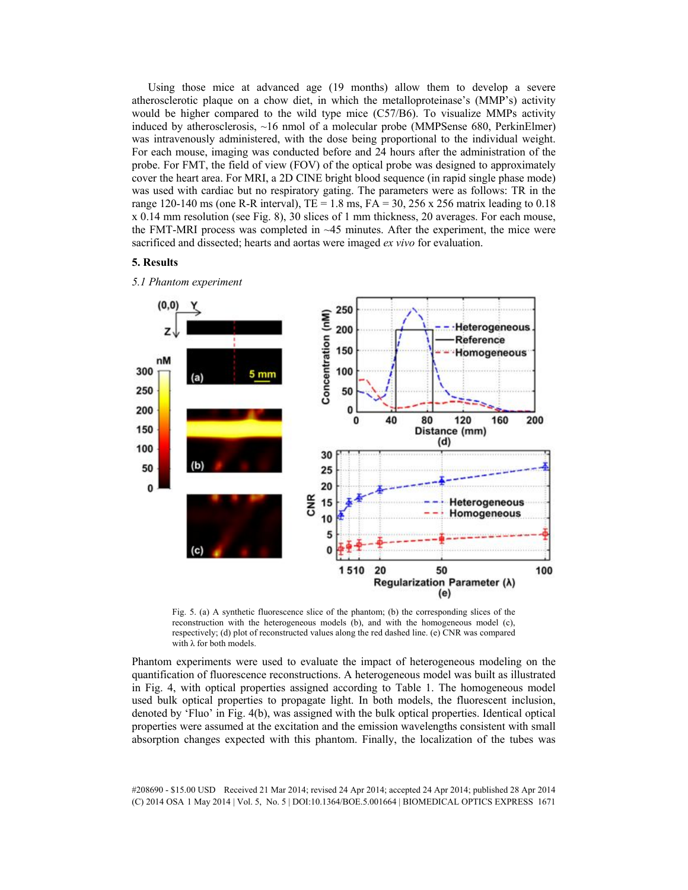Using those mice at advanced age (19 months) allow them to develop a severe atherosclerotic plaque on a chow diet, in which the metalloproteinase's (MMP's) activity would be higher compared to the wild type mice (C57/B6). To visualize MMPs activity induced by atherosclerosis, ~16 nmol of a molecular probe (MMPSense 680, PerkinElmer) was intravenously administered, with the dose being proportional to the individual weight. For each mouse, imaging was conducted before and 24 hours after the administration of the probe. For FMT, the field of view (FOV) of the optical probe was designed to approximately cover the heart area. For MRI, a 2D CINE bright blood sequence (in rapid single phase mode) was used with cardiac but no respiratory gating. The parameters were as follows: TR in the range 120-140 ms (one R-R interval), TE = 1.8 ms, FA = 30, 256 x 256 matrix leading to 0.18 x 0.14 mm resolution (see Fig. 8), 30 slices of 1 mm thickness, 20 averages. For each mouse, the FMT-MRI process was completed in  $\sim$  45 minutes. After the experiment, the mice were sacrificed and dissected; hearts and aortas were imaged *ex vivo* for evaluation.

### **5. Results**





Fig. 5. (a) A synthetic fluorescence slice of the phantom; (b) the corresponding slices of the reconstruction with the heterogeneous models (b), and with the homogeneous model (c), respectively; (d) plot of reconstructed values along the red dashed line. (e) CNR was compared with  $\lambda$  for both models.

Phantom experiments were used to evaluate the impact of heterogeneous modeling on the quantification of fluorescence reconstructions. A heterogeneous model was built as illustrated in Fig. 4, with optical properties assigned according to Table 1. The homogeneous model used bulk optical properties to propagate light. In both models, the fluorescent inclusion, denoted by 'Fluo' in Fig. 4(b), was assigned with the bulk optical properties. Identical optical properties were assumed at the excitation and the emission wavelengths consistent with small absorption changes expected with this phantom. Finally, the localization of the tubes was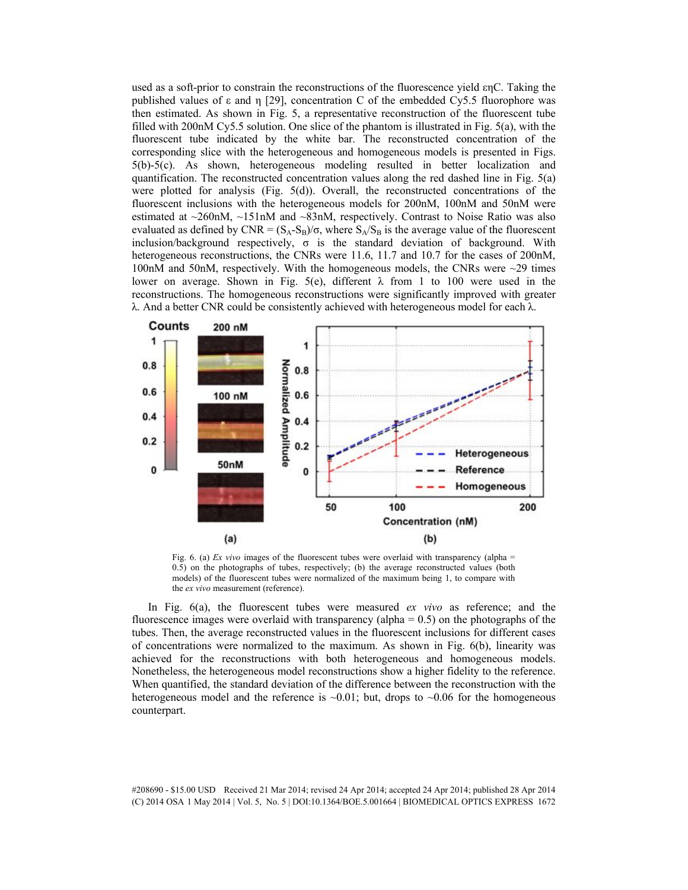used as a soft-prior to constrain the reconstructions of the fluorescence yield  $\epsilon$ n $C$ . Taking the published values of  $\epsilon$  and  $\eta$  [29], concentration C of the embedded Cy5.5 fluorophore was then estimated. As shown in Fig. 5, a representative reconstruction of the fluorescent tube filled with 200nM Cy5.5 solution. One slice of the phantom is illustrated in Fig. 5(a), with the fluorescent tube indicated by the white bar. The reconstructed concentration of the corresponding slice with the heterogeneous and homogeneous models is presented in Figs. 5(b)-5(c). As shown, heterogeneous modeling resulted in better localization and quantification. The reconstructed concentration values along the red dashed line in Fig. 5(a) were plotted for analysis (Fig.  $5(d)$ ). Overall, the reconstructed concentrations of the fluorescent inclusions with the heterogeneous models for 200nM, 100nM and 50nM were estimated at ~260nM, ~151nM and ~83nM, respectively. Contrast to Noise Ratio was also evaluated as defined by CNR =  $(S_A-S_B)/\sigma$ , where  $S_A/S_B$  is the average value of the fluorescent inclusion/background respectively,  $\sigma$  is the standard deviation of background. With heterogeneous reconstructions, the CNRs were 11.6, 11.7 and 10.7 for the cases of 200nM, 100nM and 50nM, respectively. With the homogeneous models, the CNRs were ~29 times lower on average. Shown in Fig. 5(e), different  $\lambda$  from 1 to 100 were used in the reconstructions. The homogeneous reconstructions were significantly improved with greater  $\lambda$ . And a better CNR could be consistently achieved with heterogeneous model for each  $\lambda$ .



Fig. 6. (a) *Ex vivo* images of the fluorescent tubes were overlaid with transparency (alpha = 0.5) on the photographs of tubes, respectively; (b) the average reconstructed values (both models) of the fluorescent tubes were normalized of the maximum being 1, to compare with the *ex vivo* measurement (reference).

In Fig. 6(a), the fluorescent tubes were measured *ex vivo* as reference; and the fluorescence images were overlaid with transparency (alpha  $= 0.5$ ) on the photographs of the tubes. Then, the average reconstructed values in the fluorescent inclusions for different cases of concentrations were normalized to the maximum. As shown in Fig. 6(b), linearity was achieved for the reconstructions with both heterogeneous and homogeneous models. Nonetheless, the heterogeneous model reconstructions show a higher fidelity to the reference. When quantified, the standard deviation of the difference between the reconstruction with the heterogeneous model and the reference is  $\sim 0.01$ ; but, drops to  $\sim 0.06$  for the homogeneous counterpart.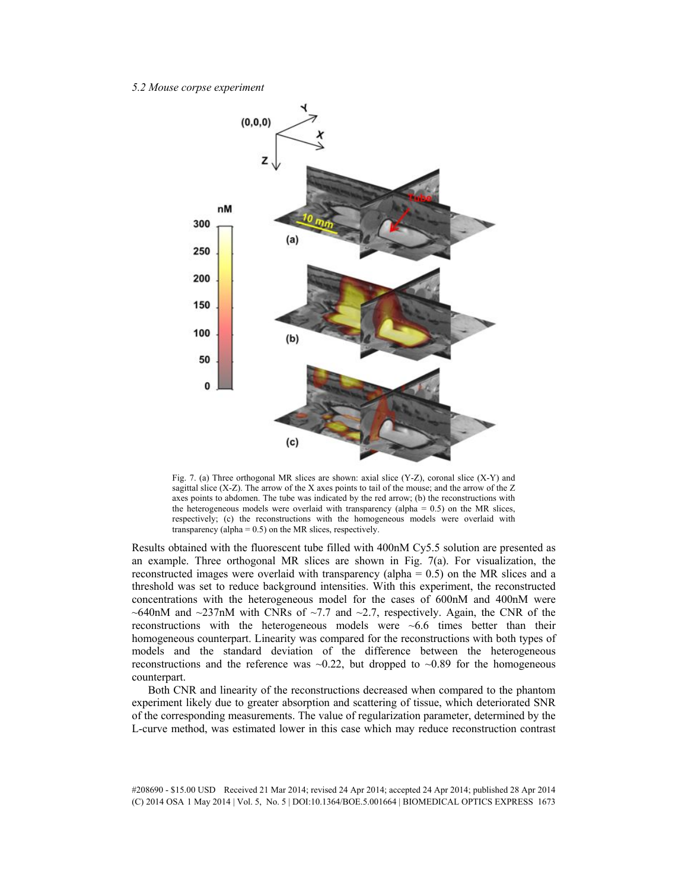### *5.2 Mouse corpse experiment*



Fig. 7. (a) Three orthogonal MR slices are shown: axial slice  $(Y-Z)$ , coronal slice  $(X-Y)$  and sagittal slice (X-Z). The arrow of the X axes points to tail of the mouse; and the arrow of the Z axes points to abdomen. The tube was indicated by the red arrow; (b) the reconstructions with the heterogeneous models were overlaid with transparency (alpha  $= 0.5$ ) on the MR slices, respectively; (c) the reconstructions with the homogeneous models were overlaid with transparency (alpha = 0.5) on the MR slices, respectively.

Results obtained with the fluorescent tube filled with 400nM Cy5.5 solution are presented as an example. Three orthogonal MR slices are shown in Fig. 7(a). For visualization, the reconstructed images were overlaid with transparency (alpha = 0.5) on the MR slices and a threshold was set to reduce background intensities. With this experiment, the reconstructed concentrations with the heterogeneous model for the cases of 600nM and 400nM were ~640nM and ~237nM with CNRs of ~7.7 and ~2.7, respectively. Again, the CNR of the reconstructions with the heterogeneous models were ~6.6 times better than their homogeneous counterpart. Linearity was compared for the reconstructions with both types of models and the standard deviation of the difference between the heterogeneous reconstructions and the reference was  $\sim 0.22$ , but dropped to  $\sim 0.89$  for the homogeneous counterpart.

Both CNR and linearity of the reconstructions decreased when compared to the phantom experiment likely due to greater absorption and scattering of tissue, which deteriorated SNR of the corresponding measurements. The value of regularization parameter, determined by the L-curve method, was estimated lower in this case which may reduce reconstruction contrast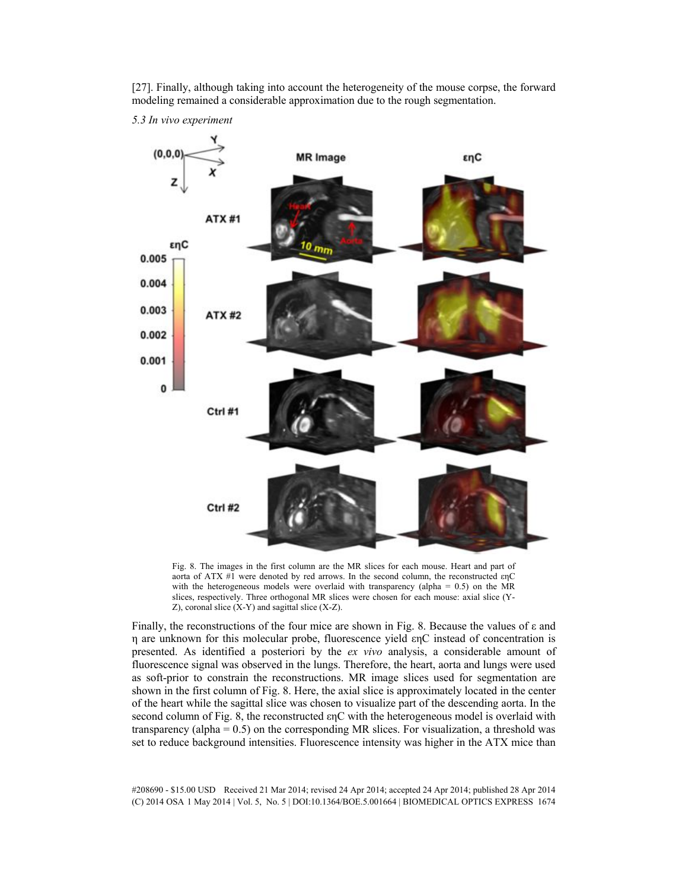

[27]. Finally, although taking into account the heterogeneity of the mouse corpse, the forward modeling remained a considerable approximation due to the rough segmentation.

*5.3 In vivo experiment* 

Fig. 8. The images in the first column are the MR slices for each mouse. Heart and part of aorta of ATX #1 were denoted by red arrows. In the second column, the reconstructed  $enC$ with the heterogeneous models were overlaid with transparency (alpha =  $0.5$ ) on the MR slices, respectively. Three orthogonal MR slices were chosen for each mouse: axial slice (Y- $Z$ ), coronal slice  $(X-Y)$  and sagittal slice  $(X-Z)$ .

Finally, the reconstructions of the four mice are shown in Fig. 8. Because the values of  $\epsilon$  and  $\eta$  are unknown for this molecular probe, fluorescence yield  $\epsilon$ <sub>n</sub>C instead of concentration is presented. As identified a posteriori by the *ex vivo* analysis, a considerable amount of fluorescence signal was observed in the lungs. Therefore, the heart, aorta and lungs were used as soft-prior to constrain the reconstructions. MR image slices used for segmentation are shown in the first column of Fig. 8. Here, the axial slice is approximately located in the center of the heart while the sagittal slice was chosen to visualize part of the descending aorta. In the second column of Fig. 8, the reconstructed  $\epsilon$ nC with the heterogeneous model is overlaid with transparency (alpha =  $0.5$ ) on the corresponding MR slices. For visualization, a threshold was set to reduce background intensities. Fluorescence intensity was higher in the ATX mice than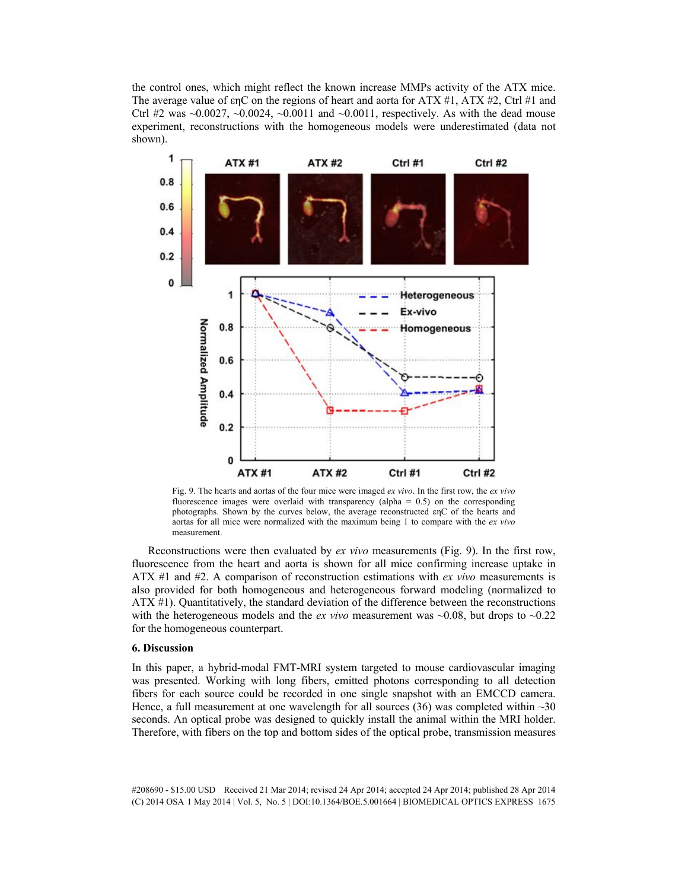the control ones, which might reflect the known increase MMPs activity of the ATX mice. The average value of  $\epsilon nC$  on the regions of heart and aorta for ATX #1, ATX #2, Ctrl #1 and Ctrl #2 was  $\sim$ 0.0027,  $\sim$ 0.0024,  $\sim$ 0.0011 and  $\sim$ 0.0011, respectively. As with the dead mouse experiment, reconstructions with the homogeneous models were underestimated (data not shown).



Fig. 9. The hearts and aortas of the four mice were imaged *ex vivo*. In the first row, the *ex vivo* fluorescence images were overlaid with transparency (alpha =  $0.5$ ) on the corresponding photographs. Shown by the curves below, the average reconstructed  $\text{en}C$  of the hearts and aortas for all mice were normalized with the maximum being 1 to compare with the *ex vivo* measurement.

Reconstructions were then evaluated by *ex vivo* measurements (Fig. 9). In the first row, fluorescence from the heart and aorta is shown for all mice confirming increase uptake in ATX #1 and #2. A comparison of reconstruction estimations with *ex vivo* measurements is also provided for both homogeneous and heterogeneous forward modeling (normalized to ATX #1). Quantitatively, the standard deviation of the difference between the reconstructions with the heterogeneous models and the *ex vivo* measurement was  $\sim 0.08$ , but drops to  $\sim 0.22$ for the homogeneous counterpart.

## **6. Discussion**

In this paper, a hybrid-modal FMT-MRI system targeted to mouse cardiovascular imaging was presented. Working with long fibers, emitted photons corresponding to all detection fibers for each source could be recorded in one single snapshot with an EMCCD camera. Hence, a full measurement at one wavelength for all sources (36) was completed within  $\sim$ 30 seconds. An optical probe was designed to quickly install the animal within the MRI holder. Therefore, with fibers on the top and bottom sides of the optical probe, transmission measures